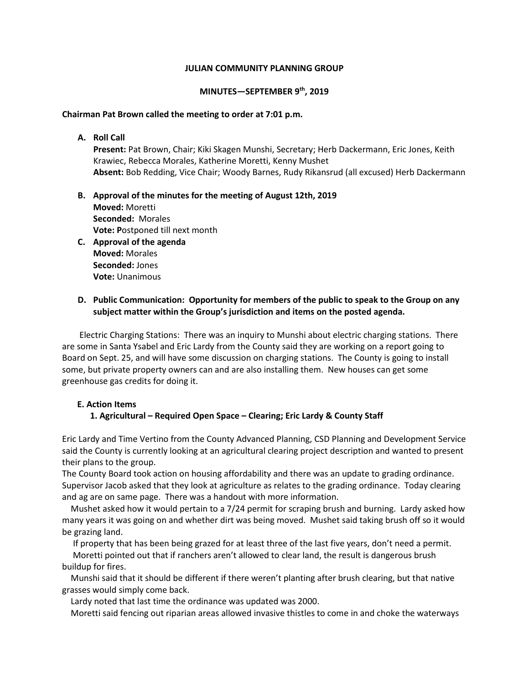#### **JULIAN COMMUNITY PLANNING GROUP**

#### **MINUTES—SEPTEMBER 9th, 2019**

#### **Chairman Pat Brown called the meeting to order at 7:01 p.m.**

**A. Roll Call** 

**Present:** Pat Brown, Chair; Kiki Skagen Munshi, Secretary; Herb Dackermann, Eric Jones, Keith Krawiec, Rebecca Morales, Katherine Moretti, Kenny Mushet **Absent:** Bob Redding, Vice Chair; Woody Barnes, Rudy Rikansrud (all excused) Herb Dackermann

- **B. Approval of the minutes for the meeting of August 12th, 2019 Moved:** Moretti **Seconded:** Morales **Vote: P**ostponed till next month
- **C. Approval of the agenda Moved:** Morales **Seconded:** Jones **Vote:** Unanimous

# **D. Public Communication: Opportunity for members of the public to speak to the Group on any subject matter within the Group's jurisdiction and items on the posted agenda.**

Electric Charging Stations: There was an inquiry to Munshi about electric charging stations. There are some in Santa Ysabel and Eric Lardy from the County said they are working on a report going to Board on Sept. 25, and will have some discussion on charging stations. The County is going to install some, but private property owners can and are also installing them. New houses can get some greenhouse gas credits for doing it.

## **E. Action Items**

## **1. Agricultural – Required Open Space – Clearing; Eric Lardy & County Staff**

Eric Lardy and Time Vertino from the County Advanced Planning, CSD Planning and Development Service said the County is currently looking at an agricultural clearing project description and wanted to present their plans to the group.

The County Board took action on housing affordability and there was an update to grading ordinance. Supervisor Jacob asked that they look at agriculture as relates to the grading ordinance. Today clearing and ag are on same page. There was a handout with more information.

 Mushet asked how it would pertain to a 7/24 permit for scraping brush and burning. Lardy asked how many years it was going on and whether dirt was being moved. Mushet said taking brush off so it would be grazing land.

 If property that has been being grazed for at least three of the last five years, don't need a permit. Moretti pointed out that if ranchers aren't allowed to clear land, the result is dangerous brush buildup for fires.

 Munshi said that it should be different if there weren't planting after brush clearing, but that native grasses would simply come back.

Lardy noted that last time the ordinance was updated was 2000.

Moretti said fencing out riparian areas allowed invasive thistles to come in and choke the waterways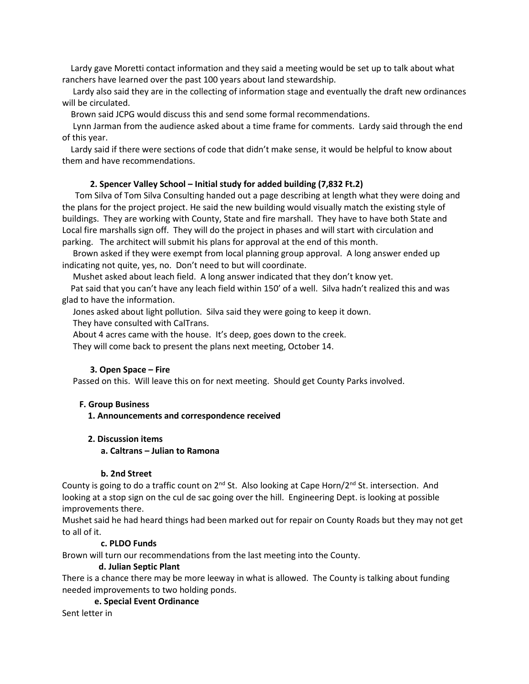Lardy gave Moretti contact information and they said a meeting would be set up to talk about what ranchers have learned over the past 100 years about land stewardship.

 Lardy also said they are in the collecting of information stage and eventually the draft new ordinances will be circulated.

Brown said JCPG would discuss this and send some formal recommendations.

 Lynn Jarman from the audience asked about a time frame for comments. Lardy said through the end of this year.

 Lardy said if there were sections of code that didn't make sense, it would be helpful to know about them and have recommendations.

#### **2. Spencer Valley School – Initial study for added building (7,832 Ft.2)**

Tom Silva of Tom Silva Consulting handed out a page describing at length what they were doing and the plans for the project project. He said the new building would visually match the existing style of buildings. They are working with County, State and fire marshall. They have to have both State and Local fire marshalls sign off. They will do the project in phases and will start with circulation and parking. The architect will submit his plans for approval at the end of this month.

 Brown asked if they were exempt from local planning group approval. A long answer ended up indicating not quite, yes, no. Don't need to but will coordinate.

Mushet asked about leach field. A long answer indicated that they don't know yet.

 Pat said that you can't have any leach field within 150' of a well. Silva hadn't realized this and was glad to have the information.

Jones asked about light pollution. Silva said they were going to keep it down.

They have consulted with CalTrans.

About 4 acres came with the house. It's deep, goes down to the creek.

They will come back to present the plans next meeting, October 14.

## **3. Open Space – Fire**

Passed on this. Will leave this on for next meeting. Should get County Parks involved.

## **F. Group Business**

 **1. Announcements and correspondence received** 

## **2. Discussion items**

#### **a. Caltrans – Julian to Ramona**

## **b. 2nd Street**

County is going to do a traffic count on 2<sup>nd</sup> St. Also looking at Cape Horn/2<sup>nd</sup> St. intersection. And looking at a stop sign on the cul de sac going over the hill. Engineering Dept. is looking at possible improvements there.

Mushet said he had heard things had been marked out for repair on County Roads but they may not get to all of it.

## **c. PLDO Funds**

Brown will turn our recommendations from the last meeting into the County.

## **d. Julian Septic Plant**

There is a chance there may be more leeway in what is allowed. The County is talking about funding needed improvements to two holding ponds.

## **e. Special Event Ordinance**

Sent letter in